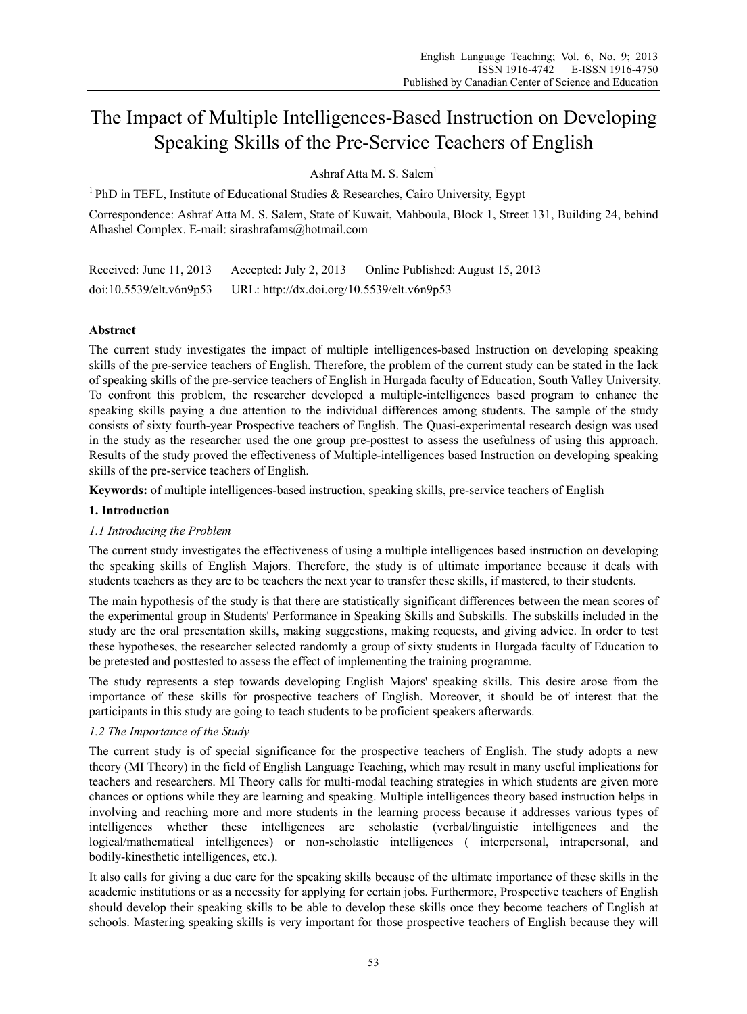# The Impact of Multiple Intelligences-Based Instruction on Developing Speaking Skills of the Pre-Service Teachers of English

Ashraf Atta M. S. Salem<sup>1</sup>

<sup>1</sup> PhD in TEFL, Institute of Educational Studies  $\&$  Researches, Cairo University, Egypt

Correspondence: Ashraf Atta M. S. Salem, State of Kuwait, Mahboula, Block 1, Street 131, Building 24, behind Alhashel Complex. E-mail: sirashrafams@hotmail.com

Received: June 11, 2013 Accepted: July 2, 2013 Online Published: August 15, 2013 doi:10.5539/elt.v6n9p53 URL: http://dx.doi.org/10.5539/elt.v6n9p53

# **Abstract**

The current study investigates the impact of multiple intelligences-based Instruction on developing speaking skills of the pre-service teachers of English. Therefore, the problem of the current study can be stated in the lack of speaking skills of the pre-service teachers of English in Hurgada faculty of Education, South Valley University. To confront this problem, the researcher developed a multiple-intelligences based program to enhance the speaking skills paying a due attention to the individual differences among students. The sample of the study consists of sixty fourth-year Prospective teachers of English. The Quasi-experimental research design was used in the study as the researcher used the one group pre-posttest to assess the usefulness of using this approach. Results of the study proved the effectiveness of Multiple-intelligences based Instruction on developing speaking skills of the pre-service teachers of English.

**Keywords:** of multiple intelligences-based instruction, speaking skills, pre-service teachers of English

## **1. Introduction**

# *1.1 Introducing the Problem*

The current study investigates the effectiveness of using a multiple intelligences based instruction on developing the speaking skills of English Majors. Therefore, the study is of ultimate importance because it deals with students teachers as they are to be teachers the next year to transfer these skills, if mastered, to their students.

The main hypothesis of the study is that there are statistically significant differences between the mean scores of the experimental group in Students' Performance in Speaking Skills and Subskills. The subskills included in the study are the oral presentation skills, making suggestions, making requests, and giving advice. In order to test these hypotheses, the researcher selected randomly a group of sixty students in Hurgada faculty of Education to be pretested and posttested to assess the effect of implementing the training programme.

The study represents a step towards developing English Majors' speaking skills. This desire arose from the importance of these skills for prospective teachers of English. Moreover, it should be of interest that the participants in this study are going to teach students to be proficient speakers afterwards.

# *1.2 The Importance of the Study*

The current study is of special significance for the prospective teachers of English. The study adopts a new theory (MI Theory) in the field of English Language Teaching, which may result in many useful implications for teachers and researchers. MI Theory calls for multi-modal teaching strategies in which students are given more chances or options while they are learning and speaking. Multiple intelligences theory based instruction helps in involving and reaching more and more students in the learning process because it addresses various types of intelligences whether these intelligences are scholastic (verbal/linguistic intelligences and the logical/mathematical intelligences) or non-scholastic intelligences ( interpersonal, intrapersonal, and bodily-kinesthetic intelligences, etc.).

It also calls for giving a due care for the speaking skills because of the ultimate importance of these skills in the academic institutions or as a necessity for applying for certain jobs. Furthermore, Prospective teachers of English should develop their speaking skills to be able to develop these skills once they become teachers of English at schools. Mastering speaking skills is very important for those prospective teachers of English because they will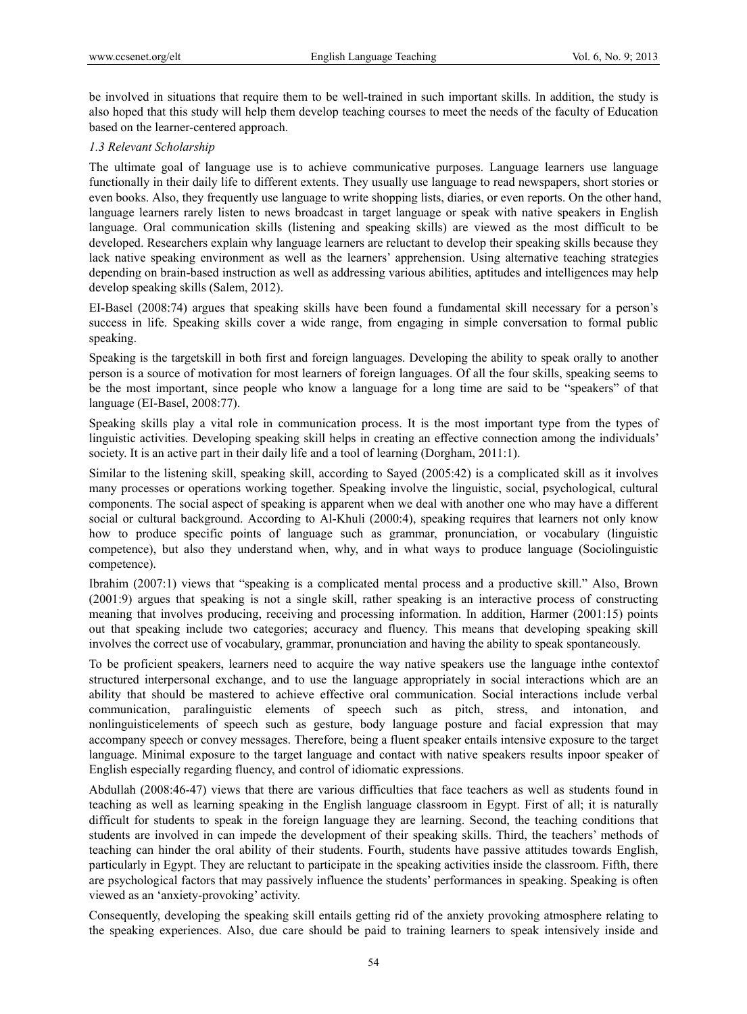be involved in situations that require them to be well-trained in such important skills. In addition, the study is also hoped that this study will help them develop teaching courses to meet the needs of the faculty of Education based on the learner-centered approach.

## *1.3 Relevant Scholarship*

The ultimate goal of language use is to achieve communicative purposes. Language learners use language functionally in their daily life to different extents. They usually use language to read newspapers, short stories or even books. Also, they frequently use language to write shopping lists, diaries, or even reports. On the other hand, language learners rarely listen to news broadcast in target language or speak with native speakers in English language. Oral communication skills (listening and speaking skills) are viewed as the most difficult to be developed. Researchers explain why language learners are reluctant to develop their speaking skills because they lack native speaking environment as well as the learners' apprehension. Using alternative teaching strategies depending on brain-based instruction as well as addressing various abilities, aptitudes and intelligences may help develop speaking skills (Salem, 2012).

EI-Basel (2008:74) argues that speaking skills have been found a fundamental skill necessary for a person's success in life. Speaking skills cover a wide range, from engaging in simple conversation to formal public speaking.

Speaking is the targetskill in both first and foreign languages. Developing the ability to speak orally to another person is a source of motivation for most learners of foreign languages. Of all the four skills, speaking seems to be the most important, since people who know a language for a long time are said to be "speakers" of that language (EI-Basel, 2008:77).

Speaking skills play a vital role in communication process. It is the most important type from the types of linguistic activities. Developing speaking skill helps in creating an effective connection among the individuals' society. It is an active part in their daily life and a tool of learning (Dorgham, 2011:1).

Similar to the listening skill, speaking skill, according to Sayed (2005:42) is a complicated skill as it involves many processes or operations working together. Speaking involve the linguistic, social, psychological, cultural components. The social aspect of speaking is apparent when we deal with another one who may have a different social or cultural background. According to Al-Khuli (2000:4), speaking requires that learners not only know how to produce specific points of language such as grammar, pronunciation, or vocabulary (linguistic competence), but also they understand when, why, and in what ways to produce language (Sociolinguistic competence).

Ibrahim (2007:1) views that "speaking is a complicated mental process and a productive skill." Also, Brown (2001:9) argues that speaking is not a single skill, rather speaking is an interactive process of constructing meaning that involves producing, receiving and processing information. In addition, Harmer (2001:15) points out that speaking include two categories; accuracy and fluency. This means that developing speaking skill involves the correct use of vocabulary, grammar, pronunciation and having the ability to speak spontaneously.

To be proficient speakers, learners need to acquire the way native speakers use the language inthe contextof structured interpersonal exchange, and to use the language appropriately in social interactions which are an ability that should be mastered to achieve effective oral communication. Social interactions include verbal communication, paralinguistic elements of speech such as pitch, stress, and intonation, and nonlinguisticelements of speech such as gesture, body language posture and facial expression that may accompany speech or convey messages. Therefore, being a fluent speaker entails intensive exposure to the target language. Minimal exposure to the target language and contact with native speakers results inpoor speaker of English especially regarding fluency, and control of idiomatic expressions.

Abdullah (2008:46-47) views that there are various difficulties that face teachers as well as students found in teaching as well as learning speaking in the English language classroom in Egypt. First of all; it is naturally difficult for students to speak in the foreign language they are learning. Second, the teaching conditions that students are involved in can impede the development of their speaking skills. Third, the teachers' methods of teaching can hinder the oral ability of their students. Fourth, students have passive attitudes towards English, particularly in Egypt. They are reluctant to participate in the speaking activities inside the classroom. Fifth, there are psychological factors that may passively influence the students' performances in speaking. Speaking is often viewed as an 'anxiety-provoking' activity.

Consequently, developing the speaking skill entails getting rid of the anxiety provoking atmosphere relating to the speaking experiences. Also, due care should be paid to training learners to speak intensively inside and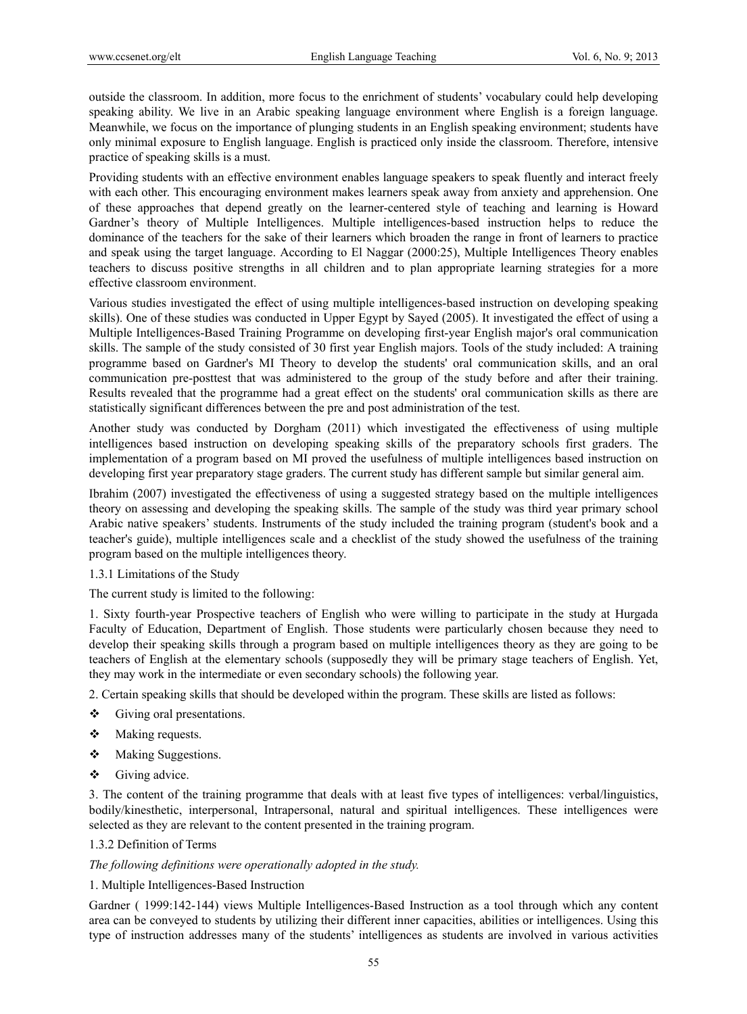outside the classroom. In addition, more focus to the enrichment of students' vocabulary could help developing speaking ability. We live in an Arabic speaking language environment where English is a foreign language. Meanwhile, we focus on the importance of plunging students in an English speaking environment; students have only minimal exposure to English language. English is practiced only inside the classroom. Therefore, intensive practice of speaking skills is a must.

Providing students with an effective environment enables language speakers to speak fluently and interact freely with each other. This encouraging environment makes learners speak away from anxiety and apprehension. One of these approaches that depend greatly on the learner-centered style of teaching and learning is Howard Gardner's theory of Multiple Intelligences. Multiple intelligences-based instruction helps to reduce the dominance of the teachers for the sake of their learners which broaden the range in front of learners to practice and speak using the target language. According to El Naggar (2000:25), Multiple Intelligences Theory enables teachers to discuss positive strengths in all children and to plan appropriate learning strategies for a more effective classroom environment.

Various studies investigated the effect of using multiple intelligences-based instruction on developing speaking skills). One of these studies was conducted in Upper Egypt by Sayed (2005). It investigated the effect of using a Multiple Intelligences-Based Training Programme on developing first-year English major's oral communication skills. The sample of the study consisted of 30 first year English majors. Tools of the study included: A training programme based on Gardner's MI Theory to develop the students' oral communication skills, and an oral communication pre-posttest that was administered to the group of the study before and after their training. Results revealed that the programme had a great effect on the students' oral communication skills as there are statistically significant differences between the pre and post administration of the test.

Another study was conducted by Dorgham (2011) which investigated the effectiveness of using multiple intelligences based instruction on developing speaking skills of the preparatory schools first graders. The implementation of a program based on MI proved the usefulness of multiple intelligences based instruction on developing first year preparatory stage graders. The current study has different sample but similar general aim.

Ibrahim (2007) investigated the effectiveness of using a suggested strategy based on the multiple intelligences theory on assessing and developing the speaking skills. The sample of the study was third year primary school Arabic native speakers' students. Instruments of the study included the training program (student's book and a teacher's guide), multiple intelligences scale and a checklist of the study showed the usefulness of the training program based on the multiple intelligences theory.

1.3.1 Limitations of the Study

The current study is limited to the following:

1. Sixty fourth-year Prospective teachers of English who were willing to participate in the study at Hurgada Faculty of Education, Department of English. Those students were particularly chosen because they need to develop their speaking skills through a program based on multiple intelligences theory as they are going to be teachers of English at the elementary schools (supposedly they will be primary stage teachers of English. Yet, they may work in the intermediate or even secondary schools) the following year.

2. Certain speaking skills that should be developed within the program. These skills are listed as follows:

- Giving oral presentations.
- $\triangleleft$  Making requests.
- **\*** Making Suggestions.
- $\triangleleft$  Giving advice.

3. The content of the training programme that deals with at least five types of intelligences: verbal/linguistics, bodily/kinesthetic, interpersonal, Intrapersonal, natural and spiritual intelligences. These intelligences were selected as they are relevant to the content presented in the training program.

## 1.3.2 Definition of Terms

### *The following definitions were operationally adopted in the study.*

## 1. Multiple Intelligences-Based Instruction

Gardner ( 1999:142-144) views Multiple Intelligences-Based Instruction as a tool through which any content area can be conveyed to students by utilizing their different inner capacities, abilities or intelligences. Using this type of instruction addresses many of the students' intelligences as students are involved in various activities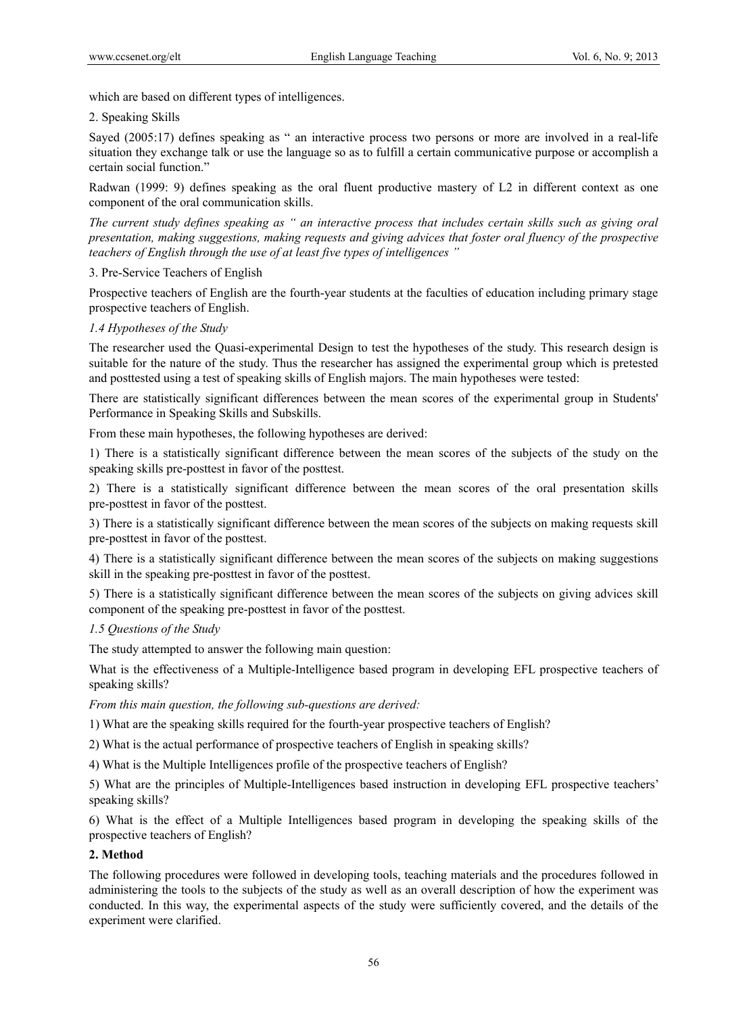which are based on different types of intelligences.

#### 2. Speaking Skills

Sayed (2005:17) defines speaking as " an interactive process two persons or more are involved in a real-life situation they exchange talk or use the language so as to fulfill a certain communicative purpose or accomplish a certain social function."

Radwan (1999: 9) defines speaking as the oral fluent productive mastery of L2 in different context as one component of the oral communication skills.

*The current study defines speaking as " an interactive process that includes certain skills such as giving oral presentation, making suggestions, making requests and giving advices that foster oral fluency of the prospective teachers of English through the use of at least five types of intelligences "* 

## 3. Pre-Service Teachers of English

Prospective teachers of English are the fourth-year students at the faculties of education including primary stage prospective teachers of English.

#### *1.4 Hypotheses of the Study*

The researcher used the Quasi-experimental Design to test the hypotheses of the study. This research design is suitable for the nature of the study. Thus the researcher has assigned the experimental group which is pretested and posttested using a test of speaking skills of English majors. The main hypotheses were tested:

There are statistically significant differences between the mean scores of the experimental group in Students' Performance in Speaking Skills and Subskills.

From these main hypotheses, the following hypotheses are derived:

1) There is a statistically significant difference between the mean scores of the subjects of the study on the speaking skills pre-posttest in favor of the posttest.

2) There is a statistically significant difference between the mean scores of the oral presentation skills pre-posttest in favor of the posttest.

3) There is a statistically significant difference between the mean scores of the subjects on making requests skill pre-posttest in favor of the posttest.

4) There is a statistically significant difference between the mean scores of the subjects on making suggestions skill in the speaking pre-posttest in favor of the posttest.

5) There is a statistically significant difference between the mean scores of the subjects on giving advices skill component of the speaking pre-posttest in favor of the posttest.

## *1.5 Questions of the Study*

The study attempted to answer the following main question:

What is the effectiveness of a Multiple-Intelligence based program in developing EFL prospective teachers of speaking skills?

*From this main question, the following sub-questions are derived:* 

1) What are the speaking skills required for the fourth-year prospective teachers of English?

2) What is the actual performance of prospective teachers of English in speaking skills?

4) What is the Multiple Intelligences profile of the prospective teachers of English?

5) What are the principles of Multiple-Intelligences based instruction in developing EFL prospective teachers' speaking skills?

6) What is the effect of a Multiple Intelligences based program in developing the speaking skills of the prospective teachers of English?

## **2. Method**

The following procedures were followed in developing tools, teaching materials and the procedures followed in administering the tools to the subjects of the study as well as an overall description of how the experiment was conducted. In this way, the experimental aspects of the study were sufficiently covered, and the details of the experiment were clarified.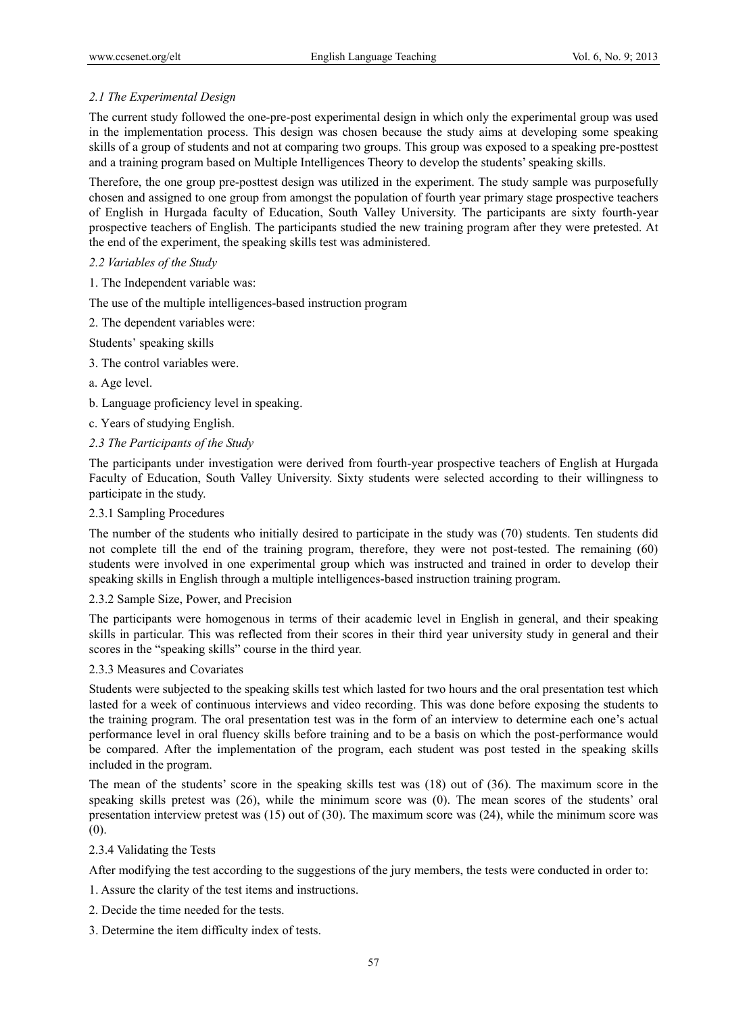## *2.1 The Experimental Design*

The current study followed the one-pre-post experimental design in which only the experimental group was used in the implementation process. This design was chosen because the study aims at developing some speaking skills of a group of students and not at comparing two groups. This group was exposed to a speaking pre-posttest and a training program based on Multiple Intelligences Theory to develop the students' speaking skills.

Therefore, the one group pre-posttest design was utilized in the experiment. The study sample was purposefully chosen and assigned to one group from amongst the population of fourth year primary stage prospective teachers of English in Hurgada faculty of Education, South Valley University. The participants are sixty fourth-year prospective teachers of English. The participants studied the new training program after they were pretested. At the end of the experiment, the speaking skills test was administered.

### *2.2 Variables of the Study*

1. The Independent variable was:

The use of the multiple intelligences-based instruction program

2. The dependent variables were:

Students' speaking skills

- 3. The control variables were.
- a. Age level.
- b. Language proficiency level in speaking.
- c. Years of studying English.

### *2.3 The Participants of the Study*

The participants under investigation were derived from fourth-year prospective teachers of English at Hurgada Faculty of Education, South Valley University. Sixty students were selected according to their willingness to participate in the study.

### 2.3.1 Sampling Procedures

The number of the students who initially desired to participate in the study was (70) students. Ten students did not complete till the end of the training program, therefore, they were not post-tested. The remaining (60) students were involved in one experimental group which was instructed and trained in order to develop their speaking skills in English through a multiple intelligences-based instruction training program.

### 2.3.2 Sample Size, Power, and Precision

The participants were homogenous in terms of their academic level in English in general, and their speaking skills in particular. This was reflected from their scores in their third year university study in general and their scores in the "speaking skills" course in the third year.

### 2.3.3 Measures and Covariates

Students were subjected to the speaking skills test which lasted for two hours and the oral presentation test which lasted for a week of continuous interviews and video recording. This was done before exposing the students to the training program. The oral presentation test was in the form of an interview to determine each one's actual performance level in oral fluency skills before training and to be a basis on which the post-performance would be compared. After the implementation of the program, each student was post tested in the speaking skills included in the program.

The mean of the students' score in the speaking skills test was (18) out of (36). The maximum score in the speaking skills pretest was (26), while the minimum score was (0). The mean scores of the students' oral presentation interview pretest was (15) out of (30). The maximum score was (24), while the minimum score was (0).

### 2.3.4 Validating the Tests

After modifying the test according to the suggestions of the jury members, the tests were conducted in order to:

1. Assure the clarity of the test items and instructions.

- 2. Decide the time needed for the tests.
- 3. Determine the item difficulty index of tests.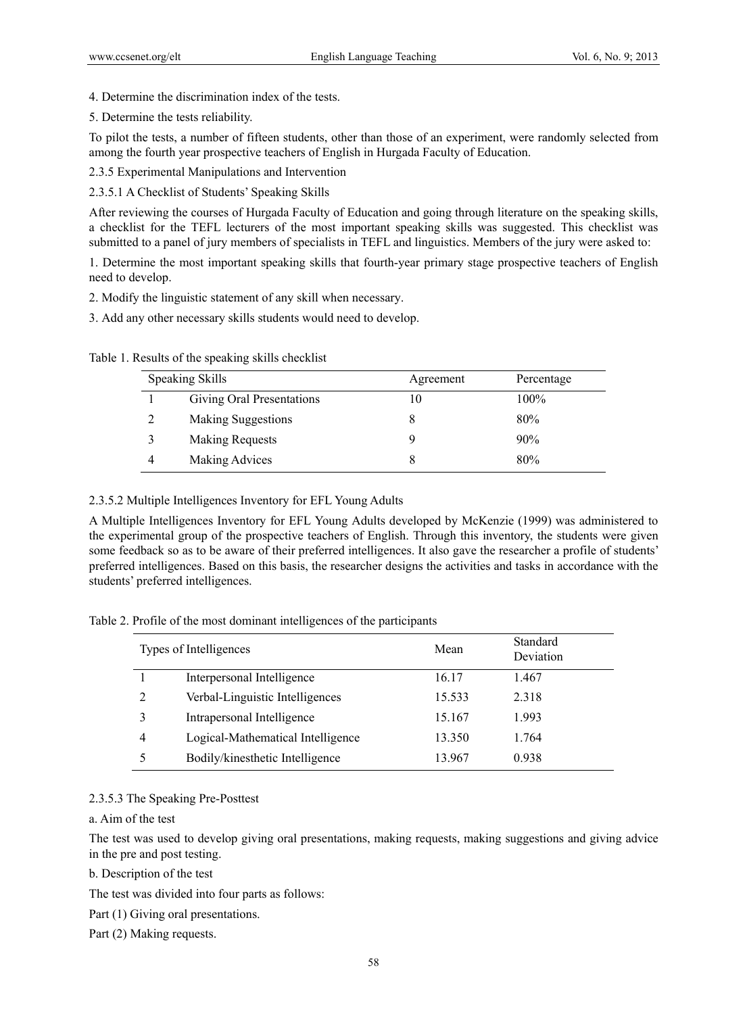- 4. Determine the discrimination index of the tests.
- 5. Determine the tests reliability.

To pilot the tests, a number of fifteen students, other than those of an experiment, were randomly selected from among the fourth year prospective teachers of English in Hurgada Faculty of Education.

- 2.3.5 Experimental Manipulations and Intervention
- 2.3.5.1 A Checklist of Students' Speaking Skills

After reviewing the courses of Hurgada Faculty of Education and going through literature on the speaking skills, a checklist for the TEFL lecturers of the most important speaking skills was suggested. This checklist was submitted to a panel of jury members of specialists in TEFL and linguistics. Members of the jury were asked to:

1. Determine the most important speaking skills that fourth-year primary stage prospective teachers of English need to develop.

- 2. Modify the linguistic statement of any skill when necessary.
- 3. Add any other necessary skills students would need to develop.

| Speaking Skills           | Agreement | Percentage |
|---------------------------|-----------|------------|
| Giving Oral Presentations | 10        | 100%       |
| <b>Making Suggestions</b> |           | 80%        |
| <b>Making Requests</b>    |           | 90%        |
| <b>Making Advices</b>     |           | 80%        |

Table 1. Results of the speaking skills checklist

#### 2.3.5.2 Multiple Intelligences Inventory for EFL Young Adults

A Multiple Intelligences Inventory for EFL Young Adults developed by McKenzie (1999) was administered to the experimental group of the prospective teachers of English. Through this inventory, the students were given some feedback so as to be aware of their preferred intelligences. It also gave the researcher a profile of students' preferred intelligences. Based on this basis, the researcher designs the activities and tasks in accordance with the students' preferred intelligences.

Table 2. Profile of the most dominant intelligences of the participants

|   | Types of Intelligences            | Mean   | Standard<br>Deviation |
|---|-----------------------------------|--------|-----------------------|
|   | Interpersonal Intelligence        | 16.17  | 1.467                 |
| 2 | Verbal-Linguistic Intelligences   | 15.533 | 2.318                 |
|   | Intrapersonal Intelligence        | 15.167 | 1.993                 |
| 4 | Logical-Mathematical Intelligence | 13.350 | 1.764                 |
|   | Bodily/kinesthetic Intelligence   | 13.967 | 0.938                 |

## 2.3.5.3 The Speaking Pre-Posttest

a. Aim of the test

The test was used to develop giving oral presentations, making requests, making suggestions and giving advice in the pre and post testing.

b. Description of the test

The test was divided into four parts as follows:

Part (1) Giving oral presentations.

Part (2) Making requests.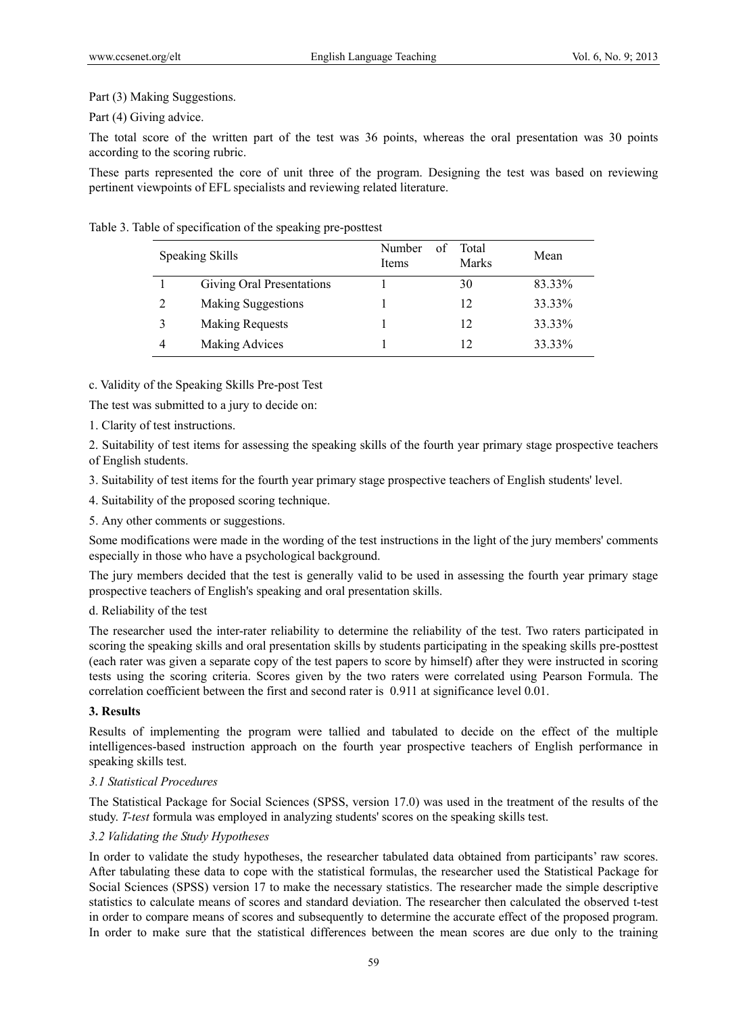## Part (3) Making Suggestions.

Part (4) Giving advice.

The total score of the written part of the test was 36 points, whereas the oral presentation was 30 points according to the scoring rubric.

These parts represented the core of unit three of the program. Designing the test was based on reviewing pertinent viewpoints of EFL specialists and reviewing related literature.

Table 3. Table of specification of the speaking pre-posttest

| Speaking Skills |                           | Number<br>of<br><b>Items</b> | Total<br><b>Marks</b> | Mean   |
|-----------------|---------------------------|------------------------------|-----------------------|--------|
|                 | Giving Oral Presentations |                              | 30                    | 83.33% |
| $\overline{2}$  | <b>Making Suggestions</b> |                              | 12                    | 33.33% |
| 3               | <b>Making Requests</b>    |                              | 12                    | 33.33% |
| 4               | <b>Making Advices</b>     |                              |                       | 33.33% |

### c. Validity of the Speaking Skills Pre-post Test

The test was submitted to a jury to decide on:

1. Clarity of test instructions.

2. Suitability of test items for assessing the speaking skills of the fourth year primary stage prospective teachers of English students.

3. Suitability of test items for the fourth year primary stage prospective teachers of English students' level.

4. Suitability of the proposed scoring technique.

5. Any other comments or suggestions.

Some modifications were made in the wording of the test instructions in the light of the jury members' comments especially in those who have a psychological background.

The jury members decided that the test is generally valid to be used in assessing the fourth year primary stage prospective teachers of English's speaking and oral presentation skills.

#### d. Reliability of the test

The researcher used the inter-rater reliability to determine the reliability of the test. Two raters participated in scoring the speaking skills and oral presentation skills by students participating in the speaking skills pre-posttest (each rater was given a separate copy of the test papers to score by himself) after they were instructed in scoring tests using the scoring criteria. Scores given by the two raters were correlated using Pearson Formula. The correlation coefficient between the first and second rater is 0.911 at significance level 0.01.

#### **3. Results**

Results of implementing the program were tallied and tabulated to decide on the effect of the multiple intelligences-based instruction approach on the fourth year prospective teachers of English performance in speaking skills test.

## *3.1 Statistical Procedures*

The Statistical Package for Social Sciences (SPSS, version 17.0) was used in the treatment of the results of the study. *T-test* formula was employed in analyzing students' scores on the speaking skills test.

#### *3.2 Validating the Study Hypotheses*

In order to validate the study hypotheses, the researcher tabulated data obtained from participants' raw scores. After tabulating these data to cope with the statistical formulas, the researcher used the Statistical Package for Social Sciences (SPSS) version 17 to make the necessary statistics. The researcher made the simple descriptive statistics to calculate means of scores and standard deviation. The researcher then calculated the observed t-test in order to compare means of scores and subsequently to determine the accurate effect of the proposed program. In order to make sure that the statistical differences between the mean scores are due only to the training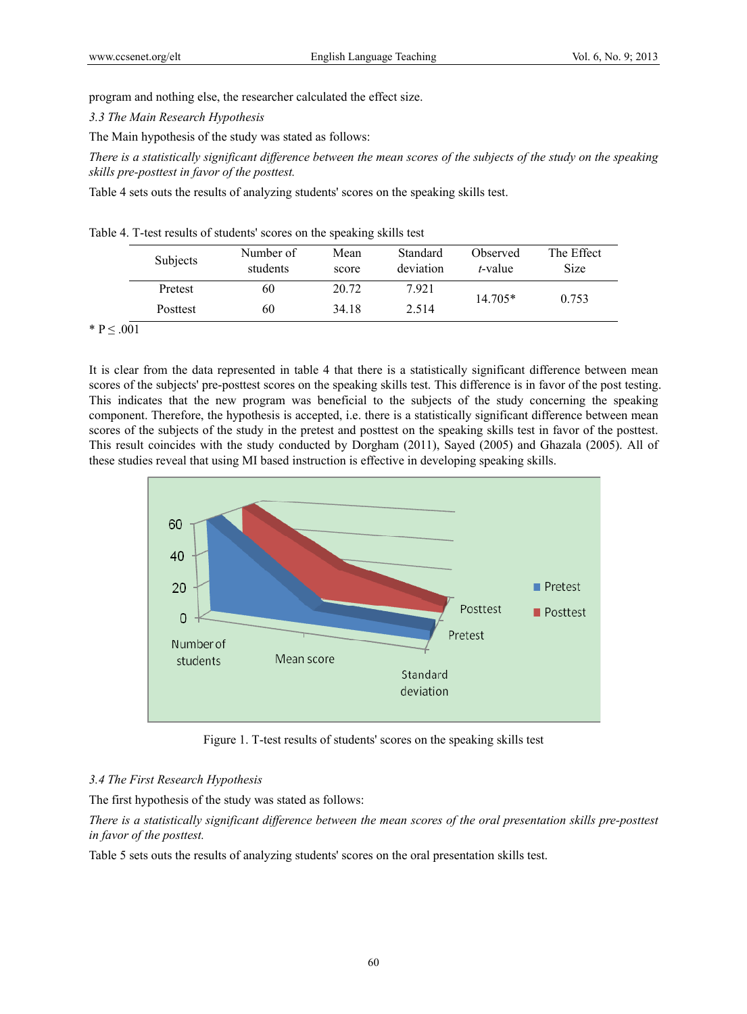program and nothing else, the researcher calculated the effect size.

*3.3 The Main Research Hypothesis* 

The Main hypothesis of the study was stated as follows:

*There is a statistically significant difference between the mean scores of the subjects of the study on the speaking skills pre-posttest in favor of the posttest.*

Table 4 sets outs the results of analyzing students' scores on the speaking skills test.

Table 4. T-test results of students' scores on the speaking skills test

| Subjects        | Number of<br>students | Mean<br>score | Standard<br>deviation | Observed<br><i>t</i> -value | The Effect<br>Size |
|-----------------|-----------------------|---------------|-----------------------|-----------------------------|--------------------|
| Pretest         | 60                    | 20.72         | 7.921                 | $14.705*$                   | 0.753              |
| <b>Posttest</b> | 60                    | 34 18         | 2.514                 |                             |                    |

\*  $P \le 0.001$ 

It is clear from the data represented in table 4 that there is a statistically significant difference between mean scores of the subjects' pre-posttest scores on the speaking skills test. This difference is in favor of the post testing. This indicates that the new program was beneficial to the subjects of the study concerning the speaking component. Therefore, the hypothesis is accepted, i.e. there is a statistically significant difference between mean scores of the subjects of the study in the pretest and posttest on the speaking skills test in favor of the posttest. This result coincides with the study conducted by Dorgham (2011), Sayed (2005) and Ghazala (2005). All of these studies reveal that using MI based instruction is effective in developing speaking skills.



Figure 1. T-test results of students' scores on the speaking skills test

### *3.4 The First Research Hypothesis*

The first hypothesis of the study was stated as follows:

*There is a statistically significant difference between the mean scores of the oral presentation skills pre-posttest in favor of the posttest.*

Table 5 sets outs the results of analyzing students' scores on the oral presentation skills test.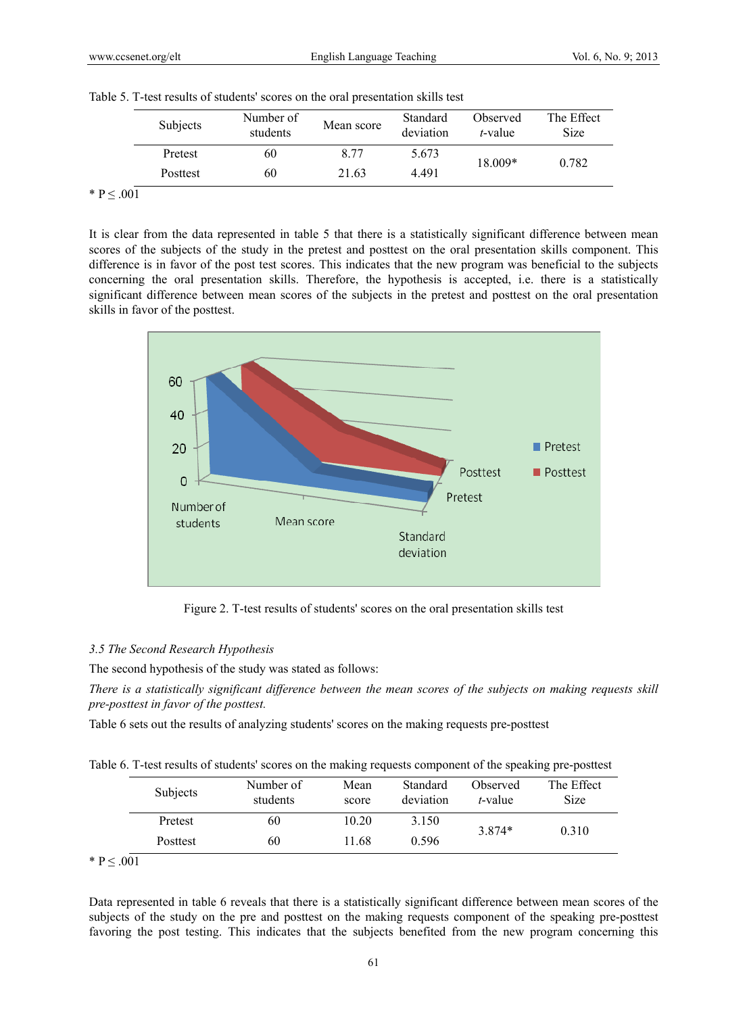|                 | Subjects | Number of<br>students | Mean score | Standard<br>deviation | Observed<br>t-value | The Effect<br><b>Size</b> |
|-----------------|----------|-----------------------|------------|-----------------------|---------------------|---------------------------|
|                 | Pretest  | 60                    | 8.77       | 5.673                 | 18.009*             | 0.782                     |
|                 | Posttest | 60                    | 21.63      | 4491                  |                     |                           |
| $D \times 0.01$ |          |                       |            |                       |                     |                           |

| Table 5. T-test results of students' scores on the oral presentation skills test |  |  |
|----------------------------------------------------------------------------------|--|--|
|----------------------------------------------------------------------------------|--|--|

 $*$  P  $\leq .001$ 

It is clear from the data represented in table 5 that there is a statistically significant difference between mean scores of the subjects of the study in the pretest and posttest on the oral presentation skills component. This difference is in favor of the post test scores. This indicates that the new program was beneficial to the subjects concerning the oral presentation skills. Therefore, the hypothesis is accepted, i.e. there is a statistically significant difference between mean scores of the subjects in the pretest and posttest on the oral presentation skills in favor of the posttest.



Figure 2. T-test results of students' scores on the oral presentation skills test

### *3.5 The Second Research Hypothesis*

The second hypothesis of the study was stated as follows:

*There is a statistically significant difference between the mean scores of the subjects on making requests skill pre-posttest in favor of the posttest.*

Table 6 sets out the results of analyzing students' scores on the making requests pre-posttest

Table 6. T-test results of students' scores on the making requests component of the speaking pre-posttest

| Subjects | Number of | Mean  |                       |                             |                           |
|----------|-----------|-------|-----------------------|-----------------------------|---------------------------|
|          | students  | score | Standard<br>deviation | Observed<br><i>t</i> -value | The Effect<br><b>Size</b> |
| Pretest  | 60        | 10.20 | 3.150                 | 3.874*                      | 0.310                     |
| Posttest | 60        | 1.68  | 0.596                 |                             |                           |

\*  $P \le 0.001$ 

Data represented in table 6 reveals that there is a statistically significant difference between mean scores of the subjects of the study on the pre and posttest on the making requests component of the speaking pre-posttest favoring the post testing. This indicates that the subjects benefited from the new program concerning this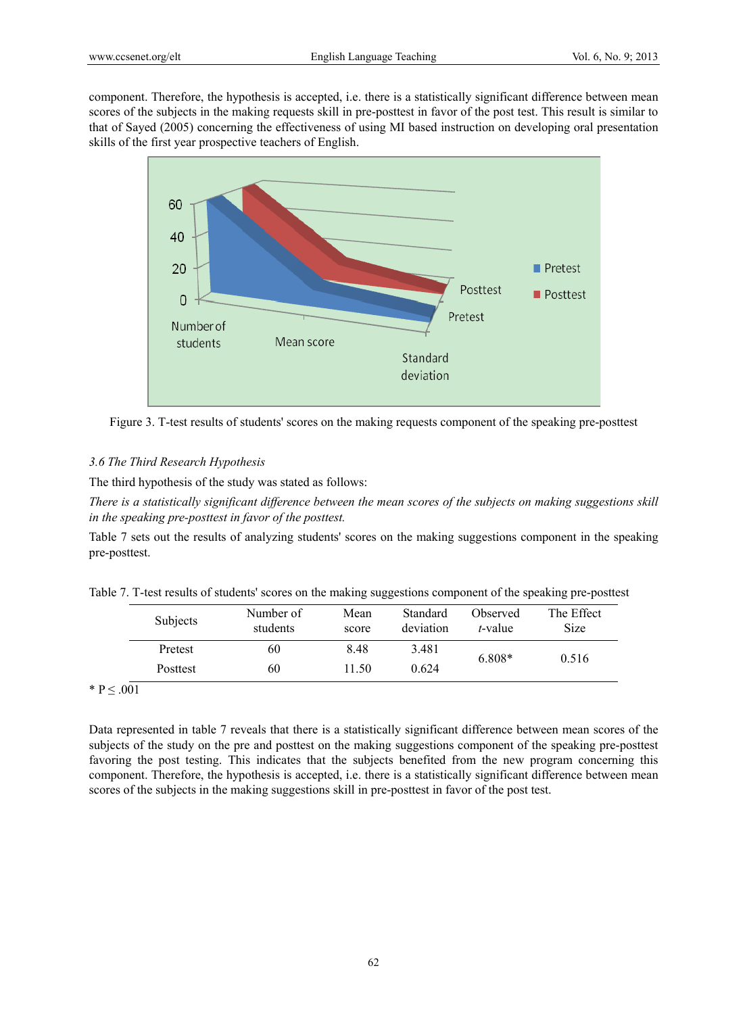component. Therefore, the hypothesis is accepted, i.e. there is a statistically significant difference between mean scores of the subjects in the making requests skill in pre-posttest in favor of the post test. This result is similar to that of Sayed (2005) concerning the effectiveness of using MI based instruction on developing oral presentation skills of the first year prospective teachers of English.



Figure 3. T-test results of students' scores on the making requests component of the speaking pre-posttest

# *3.6 The Third Research Hypothesis*

The third hypothesis of the study was stated as follows:

*There is a statistically significant difference between the mean scores of the subjects on making suggestions skill in the speaking pre-posttest in favor of the posttest.*

Table 7 sets out the results of analyzing students' scores on the making suggestions component in the speaking pre-posttest.

Table 7. T-test results of students' scores on the making suggestions component of the speaking pre-posttest

| Subjects | Number of<br>students | Mean<br>score | Standard<br>deviation | Observed<br>t-value | The Effect<br><b>Size</b> |
|----------|-----------------------|---------------|-----------------------|---------------------|---------------------------|
| Pretest  | 60                    | 8.48          | 3.481                 |                     |                           |
| Posttest | 60                    | 11.50         | 0.624                 | 6.808*              | 0.516                     |

\*  $P \le 0.001$ 

Data represented in table 7 reveals that there is a statistically significant difference between mean scores of the subjects of the study on the pre and posttest on the making suggestions component of the speaking pre-posttest favoring the post testing. This indicates that the subjects benefited from the new program concerning this component. Therefore, the hypothesis is accepted, i.e. there is a statistically significant difference between mean scores of the subjects in the making suggestions skill in pre-posttest in favor of the post test.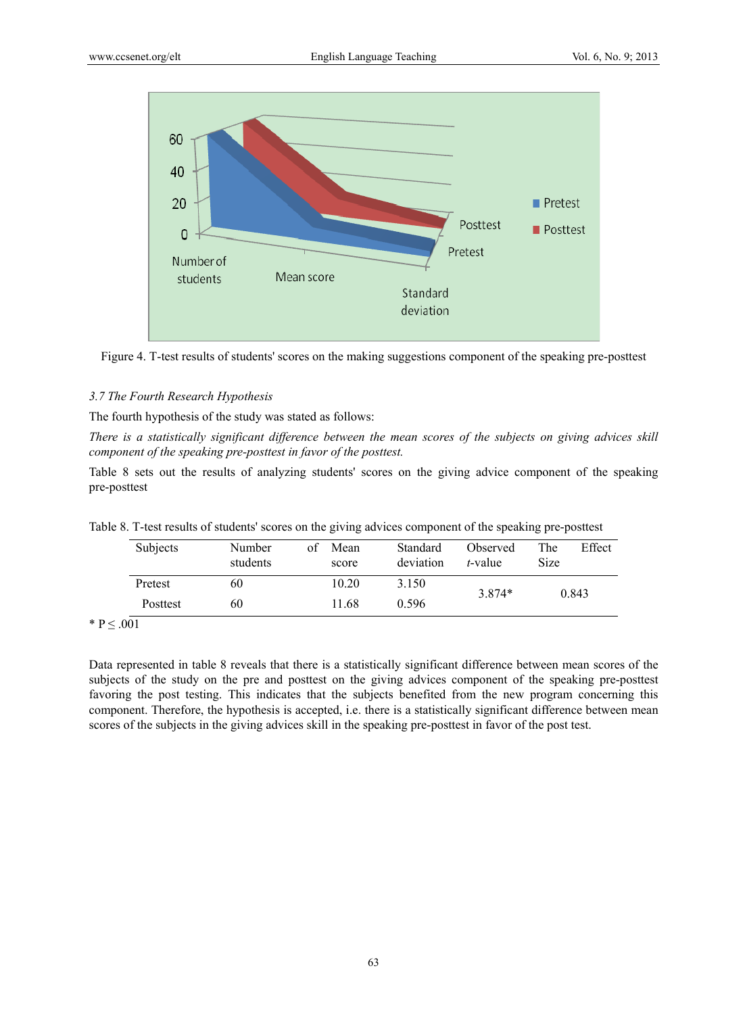

Figure 4. T-test results of students' scores on the making suggestions component of the speaking pre-posttest

### *3.7 The Fourth Research Hypothesis*

The fourth hypothesis of the study was stated as follows:

*There is a statistically significant difference between the mean scores of the subjects on giving advices skill component of the speaking pre-posttest in favor of the posttest.*

Table 8 sets out the results of analyzing students' scores on the giving advice component of the speaking pre-posttest

| Subjects | Number<br>students | οf<br>Mean<br>score | Standard<br>deviation | Observed<br>t-value | Effect<br>The<br>Size |  |
|----------|--------------------|---------------------|-----------------------|---------------------|-----------------------|--|
| Pretest  | 60                 | 10.20               | 3.150                 | 3.874*              | 0.843                 |  |
| Posttest | 60                 | 1.68                | 0.596                 |                     |                       |  |

Table 8. T-test results of students' scores on the giving advices component of the speaking pre-posttest

\*  $P \le 0.001$ 

Data represented in table 8 reveals that there is a statistically significant difference between mean scores of the subjects of the study on the pre and posttest on the giving advices component of the speaking pre-posttest favoring the post testing. This indicates that the subjects benefited from the new program concerning this component. Therefore, the hypothesis is accepted, i.e. there is a statistically significant difference between mean scores of the subjects in the giving advices skill in the speaking pre-posttest in favor of the post test.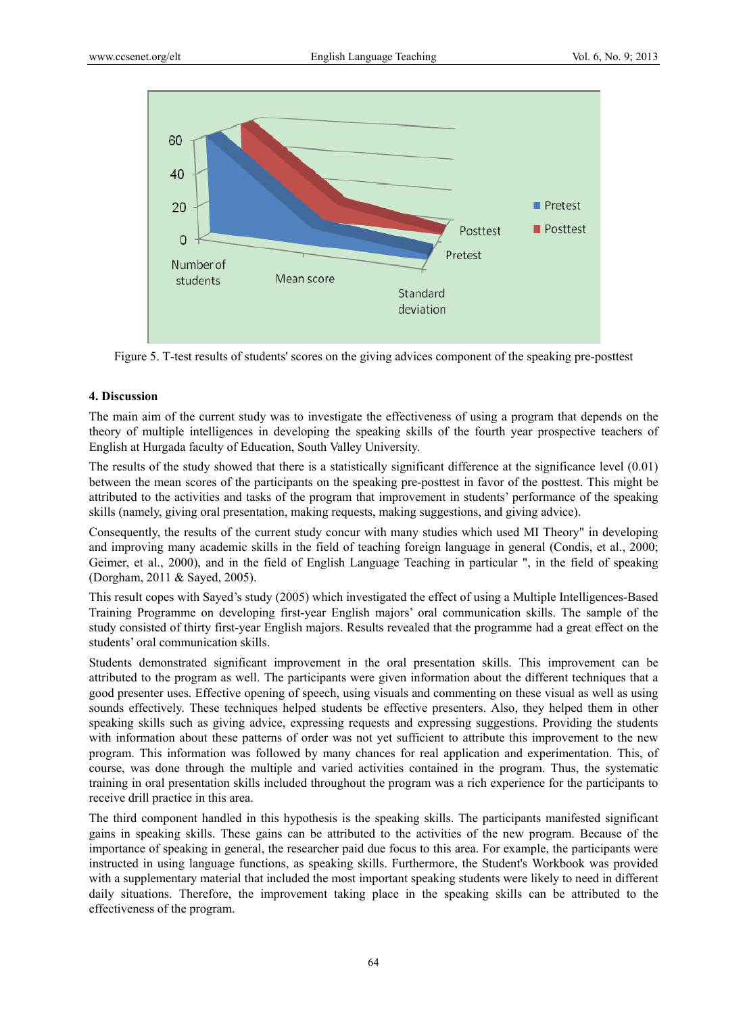

Figure 5. T-test results of students' scores on the giving advices component of the speaking pre-posttest

#### **4. Discussion**

The main aim of the current study was to investigate the effectiveness of using a program that depends on the theory of multiple intelligences in developing the speaking skills of the fourth year prospective teachers of English at Hurgada faculty of Education, South Valley University.

The results of the study showed that there is a statistically significant difference at the significance level (0.01) between the mean scores of the participants on the speaking pre-posttest in favor of the posttest. This might be attributed to the activities and tasks of the program that improvement in students' performance of the speaking skills (namely, giving oral presentation, making requests, making suggestions, and giving advice).

Consequently, the results of the current study concur with many studies which used MI Theory" in developing and improving many academic skills in the field of teaching foreign language in general (Condis, et al., 2000; Geimer, et al., 2000), and in the field of English Language Teaching in particular ", in the field of speaking (Dorgham, 2011 & Sayed, 2005).

This result copes with Sayed's study (2005) which investigated the effect of using a Multiple Intelligences-Based Training Programme on developing first-year English majors' oral communication skills. The sample of the study consisted of thirty first-year English majors. Results revealed that the programme had a great effect on the students' oral communication skills.

Students demonstrated significant improvement in the oral presentation skills. This improvement can be attributed to the program as well. The participants were given information about the different techniques that a good presenter uses. Effective opening of speech, using visuals and commenting on these visual as well as using sounds effectively. These techniques helped students be effective presenters. Also, they helped them in other speaking skills such as giving advice, expressing requests and expressing suggestions. Providing the students with information about these patterns of order was not yet sufficient to attribute this improvement to the new program. This information was followed by many chances for real application and experimentation. This, of course, was done through the multiple and varied activities contained in the program. Thus, the systematic training in oral presentation skills included throughout the program was a rich experience for the participants to receive drill practice in this area.

The third component handled in this hypothesis is the speaking skills. The participants manifested significant gains in speaking skills. These gains can be attributed to the activities of the new program. Because of the importance of speaking in general, the researcher paid due focus to this area. For example, the participants were instructed in using language functions, as speaking skills. Furthermore, the Student's Workbook was provided with a supplementary material that included the most important speaking students were likely to need in different daily situations. Therefore, the improvement taking place in the speaking skills can be attributed to the effectiveness of the program.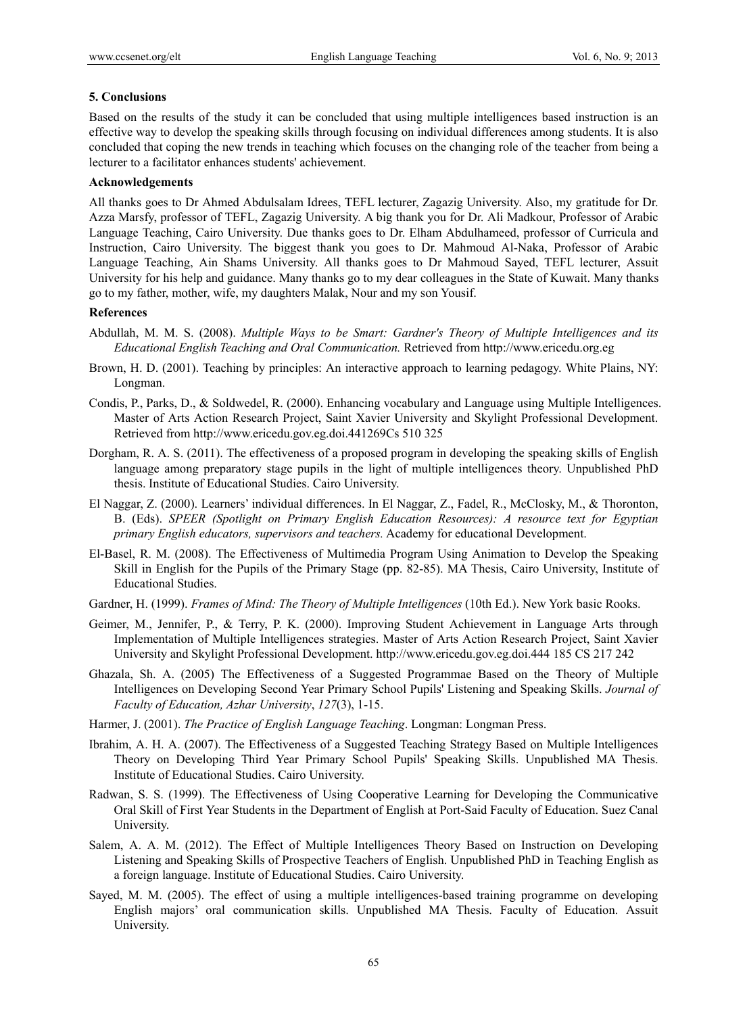#### **5. Conclusions**

Based on the results of the study it can be concluded that using multiple intelligences based instruction is an effective way to develop the speaking skills through focusing on individual differences among students. It is also concluded that coping the new trends in teaching which focuses on the changing role of the teacher from being a lecturer to a facilitator enhances students' achievement.

#### **Acknowledgements**

All thanks goes to Dr Ahmed Abdulsalam Idrees, TEFL lecturer, Zagazig University. Also, my gratitude for Dr. Azza Marsfy, professor of TEFL, Zagazig University. A big thank you for Dr. Ali Madkour, Professor of Arabic Language Teaching, Cairo University. Due thanks goes to Dr. Elham Abdulhameed, professor of Curricula and Instruction, Cairo University. The biggest thank you goes to Dr. Mahmoud Al-Naka, Professor of Arabic Language Teaching, Ain Shams University. All thanks goes to Dr Mahmoud Sayed, TEFL lecturer, Assuit University for his help and guidance. Many thanks go to my dear colleagues in the State of Kuwait. Many thanks go to my father, mother, wife, my daughters Malak, Nour and my son Yousif.

## **References**

- Abdullah, M. M. S. (2008). *Multiple Ways to be Smart: Gardner's Theory of Multiple Intelligences and its Educational English Teaching and Oral Communication.* Retrieved from http://www.ericedu.org.eg
- Brown, H. D. (2001). Teaching by principles: An interactive approach to learning pedagogy. White Plains, NY: Longman.
- Condis, P., Parks, D., & Soldwedel, R. (2000). Enhancing vocabulary and Language using Multiple Intelligences. Master of Arts Action Research Project, Saint Xavier University and Skylight Professional Development. Retrieved from http://www.ericedu.gov.eg.doi.441269Cs 510 325
- Dorgham, R. A. S. (2011). The effectiveness of a proposed program in developing the speaking skills of English language among preparatory stage pupils in the light of multiple intelligences theory. Unpublished PhD thesis. Institute of Educational Studies. Cairo University.
- El Naggar, Z. (2000). Learners' individual differences. In El Naggar, Z., Fadel, R., McClosky, M., & Thoronton, B. (Eds). *SPEER (Spotlight on Primary English Education Resources): A resource text for Egyptian primary English educators, supervisors and teachers.* Academy for educational Development.
- El-Basel, R. M. (2008). The Effectiveness of Multimedia Program Using Animation to Develop the Speaking Skill in English for the Pupils of the Primary Stage (pp. 82-85). MA Thesis, Cairo University, Institute of Educational Studies.
- Gardner, H. (1999). *Frames of Mind: The Theory of Multiple Intelligences* (10th Ed.). New York basic Rooks.
- Geimer, M., Jennifer, P., & Terry, P. K. (2000). Improving Student Achievement in Language Arts through Implementation of Multiple Intelligences strategies. Master of Arts Action Research Project, Saint Xavier University and Skylight Professional Development. http://www.ericedu.gov.eg.doi.444 185 CS 217 242
- Ghazala, Sh. A. (2005) The Effectiveness of a Suggested Programmae Based on the Theory of Multiple Intelligences on Developing Second Year Primary School Pupils' Listening and Speaking Skills. *Journal of Faculty of Education, Azhar University*, *127*(3), 1-15.
- Harmer, J. (2001). *The Practice of English Language Teaching*. Longman: Longman Press.
- Ibrahim, A. H. A. (2007). The Effectiveness of a Suggested Teaching Strategy Based on Multiple Intelligences Theory on Developing Third Year Primary School Pupils' Speaking Skills. Unpublished MA Thesis. Institute of Educational Studies. Cairo University.
- Radwan, S. S. (1999). The Effectiveness of Using Cooperative Learning for Developing the Communicative Oral Skill of First Year Students in the Department of English at Port-Said Faculty of Education. Suez Canal University.
- Salem, A. A. M. (2012). The Effect of Multiple Intelligences Theory Based on Instruction on Developing Listening and Speaking Skills of Prospective Teachers of English. Unpublished PhD in Teaching English as a foreign language. Institute of Educational Studies. Cairo University.
- Sayed, M. M. (2005). The effect of using a multiple intelligences-based training programme on developing English majors' oral communication skills. Unpublished MA Thesis. Faculty of Education. Assuit University.